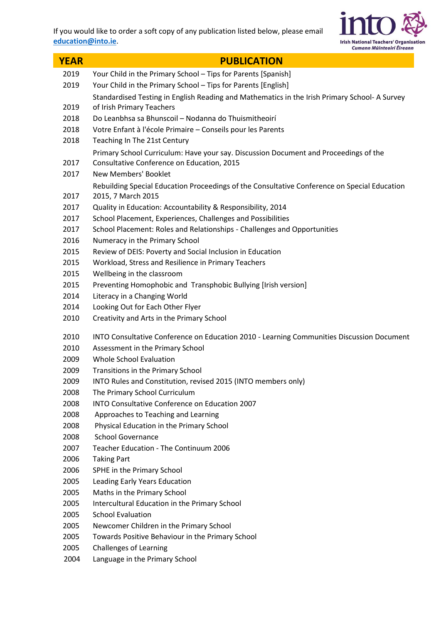

| <b>YEAR</b>  | <b>PUBLICATION</b>                                                                                                        |
|--------------|---------------------------------------------------------------------------------------------------------------------------|
| 2019         | Your Child in the Primary School - Tips for Parents [Spanish]                                                             |
| 2019         | Your Child in the Primary School - Tips for Parents [English]                                                             |
| 2019         | Standardised Testing in English Reading and Mathematics in the Irish Primary School-A Survey<br>of Irish Primary Teachers |
| 2018         | Do Leanbhsa sa Bhunscoil - Nodanna do Thuismitheoirí                                                                      |
| 2018         | Votre Enfant à l'école Primaire - Conseils pour les Parents                                                               |
| 2018         | Teaching In The 21st Century                                                                                              |
|              | Primary School Curriculum: Have your say. Discussion Document and Proceedings of the                                      |
| 2017         | Consultative Conference on Education, 2015                                                                                |
| 2017         | New Members' Booklet                                                                                                      |
| 2017         | Rebuilding Special Education Proceedings of the Consultative Conference on Special Education<br>2015, 7 March 2015        |
| 2017         | Quality in Education: Accountability & Responsibility, 2014                                                               |
| 2017         | School Placement, Experiences, Challenges and Possibilities                                                               |
| 2017         | School Placement: Roles and Relationships - Challenges and Opportunities                                                  |
| 2016         | Numeracy in the Primary School                                                                                            |
| 2015         | Review of DEIS: Poverty and Social Inclusion in Education                                                                 |
| 2015         | Workload, Stress and Resilience in Primary Teachers                                                                       |
| 2015         | Wellbeing in the classroom                                                                                                |
| 2015         | Preventing Homophobic and Transphobic Bullying [Irish version]                                                            |
| 2014         | Literacy in a Changing World                                                                                              |
| 2014         | Looking Out for Each Other Flyer                                                                                          |
| 2010         | Creativity and Arts in the Primary School                                                                                 |
| 2010         | INTO Consultative Conference on Education 2010 - Learning Communities Discussion Document                                 |
| 2010         | Assessment in the Primary School                                                                                          |
| 2009         | Whole School Evaluation                                                                                                   |
| 2009         | Transitions in the Primary School                                                                                         |
| 2009         | INTO Rules and Constitution, revised 2015 (INTO members only)                                                             |
| 2008         | The Primary School Curriculum                                                                                             |
| 2008         | INTO Consultative Conference on Education 2007                                                                            |
| 2008         | Approaches to Teaching and Learning                                                                                       |
| 2008         | Physical Education in the Primary School<br><b>School Governance</b>                                                      |
| 2008<br>2007 | Teacher Education - The Continuum 2006                                                                                    |
| 2006         | <b>Taking Part</b>                                                                                                        |
| 2006         | SPHE in the Primary School                                                                                                |
| 2005         | Leading Early Years Education                                                                                             |
| 2005         | Maths in the Primary School                                                                                               |
| 2005         | Intercultural Education in the Primary School                                                                             |
| 2005         | <b>School Evaluation</b>                                                                                                  |
| 2005         | Newcomer Children in the Primary School                                                                                   |
| 2005         | Towards Positive Behaviour in the Primary School                                                                          |
| 2005         | <b>Challenges of Learning</b>                                                                                             |
| 2004         | Language in the Primary School                                                                                            |
|              |                                                                                                                           |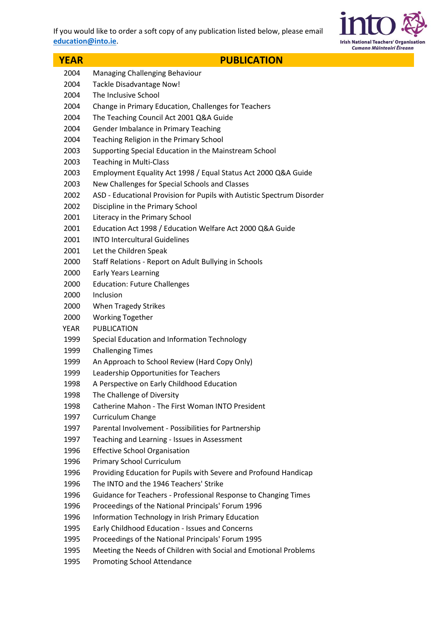

| <b>YEAR</b>  | <b>PUBLICATION</b>                                                     |
|--------------|------------------------------------------------------------------------|
| 2004         | Managing Challenging Behaviour                                         |
| 2004         | Tackle Disadvantage Now!                                               |
| 2004         | The Inclusive School                                                   |
| 2004         | Change in Primary Education, Challenges for Teachers                   |
| 2004         | The Teaching Council Act 2001 Q&A Guide                                |
| 2004         | Gender Imbalance in Primary Teaching                                   |
| 2004         | Teaching Religion in the Primary School                                |
| 2003         | Supporting Special Education in the Mainstream School                  |
| 2003         | <b>Teaching in Multi-Class</b>                                         |
| 2003         | Employment Equality Act 1998 / Equal Status Act 2000 Q&A Guide         |
| 2003         | New Challenges for Special Schools and Classes                         |
| 2002         | ASD - Educational Provision for Pupils with Autistic Spectrum Disorder |
| 2002         | Discipline in the Primary School                                       |
| 2001         | Literacy in the Primary School                                         |
| 2001         | Education Act 1998 / Education Welfare Act 2000 Q&A Guide              |
| 2001         | <b>INTO Intercultural Guidelines</b>                                   |
| 2001         | Let the Children Speak                                                 |
| 2000         | Staff Relations - Report on Adult Bullying in Schools                  |
| 2000         | <b>Early Years Learning</b>                                            |
| 2000         | <b>Education: Future Challenges</b>                                    |
| 2000         | Inclusion                                                              |
| 2000         | <b>When Tragedy Strikes</b>                                            |
| 2000         | <b>Working Together</b>                                                |
| YEAR         | PUBLICATION                                                            |
| 1999         | Special Education and Information Technology                           |
| 1999         | <b>Challenging Times</b>                                               |
| 1999         | An Approach to School Review (Hard Copy Only)                          |
| 1999         | Leadership Opportunities for Teachers                                  |
| 1998         | A Perspective on Early Childhood Education                             |
| 1998         | The Challenge of Diversity                                             |
| 1998         | Catherine Mahon - The First Woman INTO President                       |
| 1997         | Curriculum Change                                                      |
| 1997         | Parental Involvement - Possibilities for Partnership                   |
| 1997         | Teaching and Learning - Issues in Assessment                           |
| 1996         | <b>Effective School Organisation</b><br>Primary School Curriculum      |
| 1996<br>1996 | Providing Education for Pupils with Severe and Profound Handicap       |
| 1996         | The INTO and the 1946 Teachers' Strike                                 |
| 1996         | Guidance for Teachers - Professional Response to Changing Times        |
| 1996         | Proceedings of the National Principals' Forum 1996                     |
| 1996         | Information Technology in Irish Primary Education                      |
| 1995         | Early Childhood Education - Issues and Concerns                        |
| 1995         | Proceedings of the National Principals' Forum 1995                     |
| 1995         | Meeting the Needs of Children with Social and Emotional Problems       |
| 1995         | <b>Promoting School Attendance</b>                                     |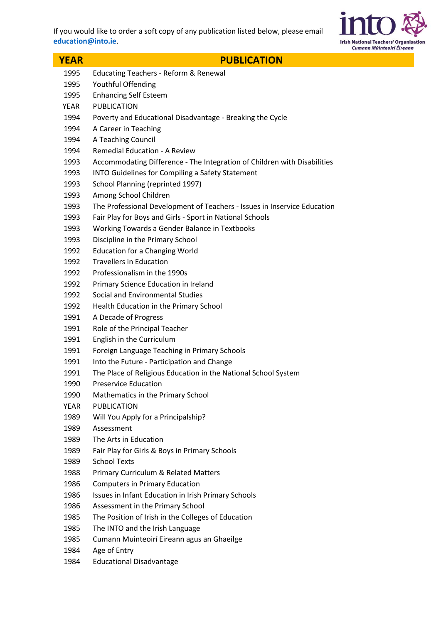

| <b>YEAR</b> | <b>PUBLICATION</b>                                                       |
|-------------|--------------------------------------------------------------------------|
| 1995        | <b>Educating Teachers - Reform &amp; Renewal</b>                         |
| 1995        | Youthful Offending                                                       |
| 1995        | <b>Enhancing Self Esteem</b>                                             |
| YEAR        | <b>PUBLICATION</b>                                                       |
| 1994        | Poverty and Educational Disadvantage - Breaking the Cycle                |
| 1994        | A Career in Teaching                                                     |
| 1994        | A Teaching Council                                                       |
| 1994        | <b>Remedial Education - A Review</b>                                     |
| 1993        | Accommodating Difference - The Integration of Children with Disabilities |
| 1993        | INTO Guidelines for Compiling a Safety Statement                         |
| 1993        | School Planning (reprinted 1997)                                         |
| 1993        | Among School Children                                                    |
| 1993        | The Professional Development of Teachers - Issues in Inservice Education |
| 1993        | Fair Play for Boys and Girls - Sport in National Schools                 |
| 1993        | Working Towards a Gender Balance in Textbooks                            |
| 1993        | Discipline in the Primary School                                         |
| 1992        | <b>Education for a Changing World</b>                                    |
| 1992        | <b>Travellers in Education</b>                                           |
| 1992        | Professionalism in the 1990s                                             |
| 1992        | Primary Science Education in Ireland                                     |
| 1992        | Social and Environmental Studies                                         |
| 1992        | Health Education in the Primary School                                   |
| 1991        | A Decade of Progress                                                     |
| 1991        | Role of the Principal Teacher                                            |
| 1991        | English in the Curriculum                                                |
| 1991        | Foreign Language Teaching in Primary Schools                             |
| 1991        | Into the Future - Participation and Change                               |
| 1991        | The Place of Religious Education in the National School System           |
| 1990        | <b>Preservice Education</b>                                              |
| 1990        | Mathematics in the Primary School                                        |
| <b>YEAR</b> | <b>PUBLICATION</b>                                                       |
| 1989        | Will You Apply for a Principalship?                                      |
| 1989        | Assessment                                                               |
| 1989        | The Arts in Education                                                    |
| 1989        | Fair Play for Girls & Boys in Primary Schools                            |
| 1989        | <b>School Texts</b>                                                      |
| 1988        | <b>Primary Curriculum &amp; Related Matters</b>                          |
| 1986        | <b>Computers in Primary Education</b>                                    |
| 1986        | Issues in Infant Education in Irish Primary Schools                      |
| 1986        | Assessment in the Primary School                                         |
| 1985        | The Position of Irish in the Colleges of Education                       |
| 1985        | The INTO and the Irish Language                                          |
| 1985        | Cumann Muinteoirí Eireann agus an Ghaeilge                               |
| 1984        | Age of Entry                                                             |
| 1984        | <b>Educational Disadvantage</b>                                          |